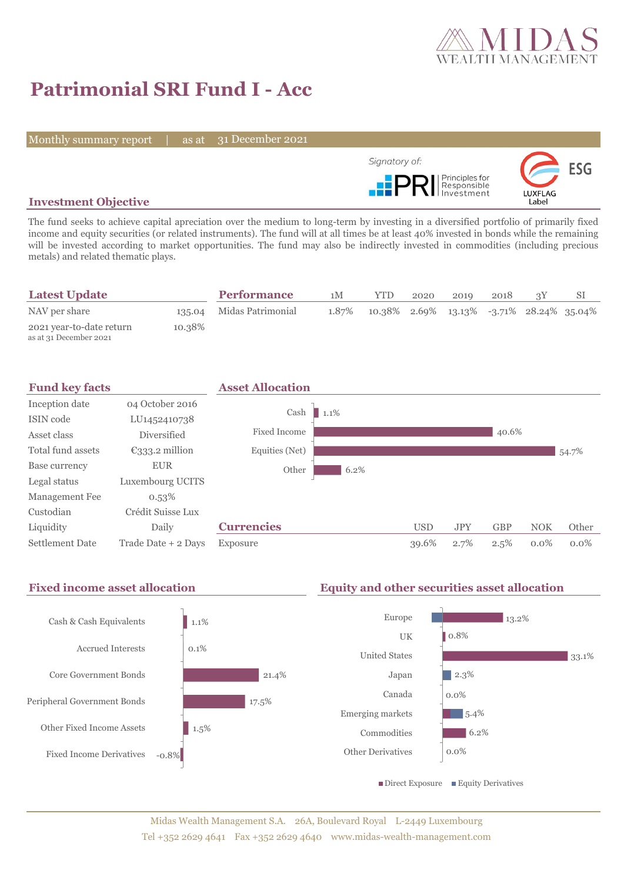

# **Patrimonial SRI Fund I - Acc**

Monthly summary report | as at 31 December 2021



## **Investment Objective**

The fund seeks to achieve capital apreciation over the medium to long-term by investing in a diversified portfolio of primarily fixed income and equity securities (or related instruments). The fund will at all times be at least 40% invested in bonds while the remaining will be invested according to market opportunities. The fund may also be indirectly invested in commodities (including precious metals) and related thematic plays.

| <b>Latest Update</b>                               |        | <b>Performance</b>       | 1M    | YTD                                         | 2020 | 2010 | 2018 |  |
|----------------------------------------------------|--------|--------------------------|-------|---------------------------------------------|------|------|------|--|
| NAV per share                                      |        | 135.04 Midas Patrimonial | 1.87% | $10.38\%$ 2.69% 13.13% -3.71% 28.24% 35.04% |      |      |      |  |
| 2021 year-to-date return<br>as at 31 December 2021 | 10.38% |                          |       |                                             |      |      |      |  |



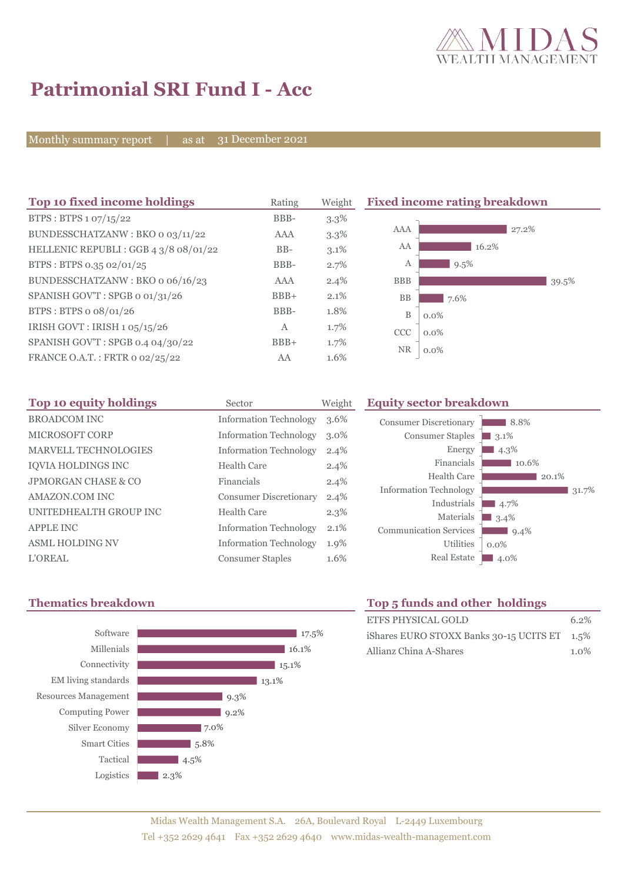

8.8% 3.1<sup>%</sup>  $\blacksquare$  4.3%

10.6%

 $-4.7%$  $3.4\%$  $9.4%$ 

0.0%

 $20.1\%$ 

 $31.7%$ 

# **Patrimonial SRI Fund I - Acc**

Monthly summary report | as at 31 December 2021

| Top 10 fixed income holdings         | Rating     | Weight  | <b>Fixed income rating breakdown</b> |  |  |
|--------------------------------------|------------|---------|--------------------------------------|--|--|
| BTPS: BTPS 1 07/15/22                | BBB-       | $3.3\%$ |                                      |  |  |
| BUNDESSCHATZANW: BKO o 03/11/22      | <b>AAA</b> | 3.3%    | AAA<br>27.2%                         |  |  |
| HELLENIC REPUBLI: GGB 4 3/8 08/01/22 | $BB-$      | 3.1%    | AA<br>16.2%                          |  |  |
| BTPS: BTPS 0.35 02/01/25             | BBB-       | 2.7%    | 9.5%<br>А                            |  |  |
| BUNDESSCHATZANW: BKO o 06/16/23      | AAA        | 2.4%    | <b>BBB</b><br>39.5%                  |  |  |
| SPANISH GOV'T: SPGB o 01/31/26       | $BBB+$     | 2.1%    | BB<br>7.6%                           |  |  |
| BTPS: BTPS o 08/01/26                | BBB-       | 1.8%    | B<br>$0.0\%$                         |  |  |
| IRISH GOVT: IRISH 1 05/15/26         | A          | 1.7%    | <b>CCC</b><br>$0.0\%$                |  |  |
| SPANISH GOV'T: SPGB 0.4 04/30/22     | $BBB+$     | 1.7%    | <b>NR</b>                            |  |  |
| FRANCE O.A.T.: FRTR 0 02/25/22       | AA         | 1.6%    | $0.0\%$                              |  |  |

| Top 10 equity holdings      | Sector                        | Weight  |
|-----------------------------|-------------------------------|---------|
| <b>BROADCOM INC</b>         | <b>Information Technology</b> | 3.6%    |
| MICROSOFT CORP              | <b>Information Technology</b> | $3.0\%$ |
| <b>MARVELL TECHNOLOGIES</b> | <b>Information Technology</b> | 2.4%    |
| IQVIA HOLDINGS INC          | Health Care                   | 2.4%    |
| JPMORGAN CHASE & CO         | Financials                    | 2.4%    |
| AMAZON.COM INC              | <b>Consumer Discretionary</b> | 2.4%    |
| UNITEDHEALTH GROUP INC      | Health Care                   | $2.3\%$ |
| <b>APPLE INC</b>            | <b>Information Technology</b> | 2.1%    |
| <b>ASML HOLDING NV</b>      | <b>Information Technology</b> | 1.9%    |
| <b>L'OREAL</b>              | <b>Consumer Staples</b>       | 1.6%    |

## **Thematics breakdown Top 5 funds and other holdings**



Utilities

Energy Financials Health Care

Industrials Materials

**Equity sector breakdown** 

Consumer Discretionary Consumer Staples

Information Technology

Communication Services

| TOP 5 IUINUS and Other Holdings              |         |
|----------------------------------------------|---------|
| ETFS PHYSICAL GOLD                           | $6.2\%$ |
| iShares EURO STOXX Banks 30-15 UCITS ET 1.5% |         |
| Allianz China A-Shares                       | $1.0\%$ |

Real Estate 4.0%